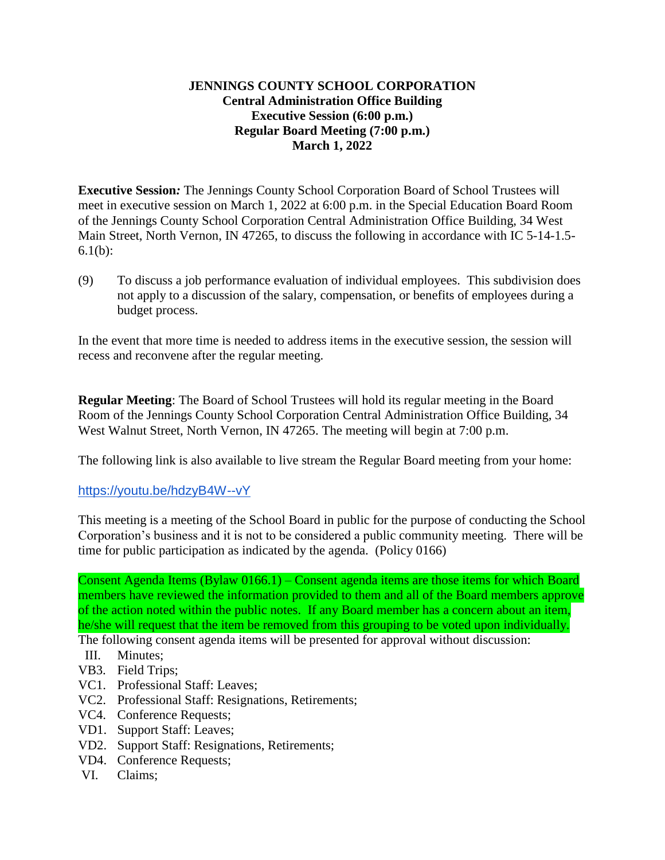## **JENNINGS COUNTY SCHOOL CORPORATION Central Administration Office Building Executive Session (6:00 p.m.) Regular Board Meeting (7:00 p.m.) March 1, 2022**

**Executive Session***:* The Jennings County School Corporation Board of School Trustees will meet in executive session on March 1, 2022 at 6:00 p.m. in the Special Education Board Room of the Jennings County School Corporation Central Administration Office Building, 34 West Main Street, North Vernon, IN 47265, to discuss the following in accordance with IC 5-14-1.5- 6.1(b):

(9) To discuss a job performance evaluation of individual employees. This subdivision does not apply to a discussion of the salary, compensation, or benefits of employees during a budget process.

In the event that more time is needed to address items in the executive session, the session will recess and reconvene after the regular meeting.

**Regular Meeting**: The Board of School Trustees will hold its regular meeting in the Board Room of the Jennings County School Corporation Central Administration Office Building, 34 West Walnut Street, North Vernon, IN 47265. The meeting will begin at 7:00 p.m.

The following link is also available to live stream the Regular Board meeting from your home:

<https://youtu.be/hdzyB4W--vY>

This meeting is a meeting of the School Board in public for the purpose of conducting the School Corporation's business and it is not to be considered a public community meeting. There will be time for public participation as indicated by the agenda. (Policy 0166)

Consent Agenda Items (Bylaw 0166.1) – Consent agenda items are those items for which Board members have reviewed the information provided to them and all of the Board members approve of the action noted within the public notes. If any Board member has a concern about an item, he/she will request that the item be removed from this grouping to be voted upon individually.

The following consent agenda items will be presented for approval without discussion:

- III. Minutes;
- VB3. Field Trips;
- VC1. Professional Staff: Leaves;
- VC2. Professional Staff: Resignations, Retirements;
- VC4. Conference Requests;
- VD1. Support Staff: Leaves;
- VD2. Support Staff: Resignations, Retirements;
- VD4. Conference Requests;
- VI. Claims;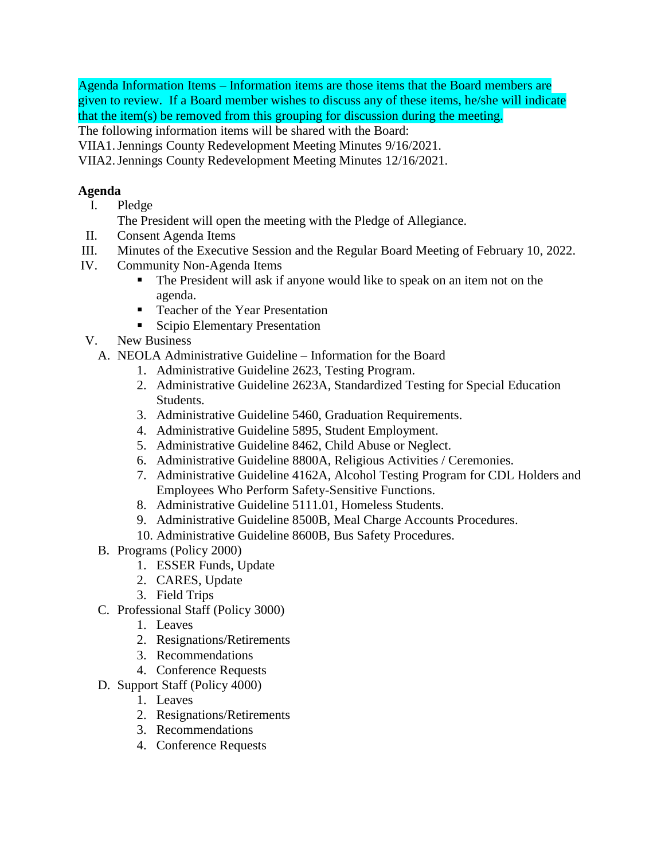Agenda Information Items – Information items are those items that the Board members are given to review. If a Board member wishes to discuss any of these items, he/she will indicate that the item(s) be removed from this grouping for discussion during the meeting.

The following information items will be shared with the Board:

VIIA1.Jennings County Redevelopment Meeting Minutes 9/16/2021.

VIIA2.Jennings County Redevelopment Meeting Minutes 12/16/2021.

## **Agenda**

- I. Pledge
	- The President will open the meeting with the Pledge of Allegiance.
- II. Consent Agenda Items
- III. Minutes of the Executive Session and the Regular Board Meeting of February 10, 2022.
- IV. Community Non-Agenda Items
	- The President will ask if anyone would like to speak on an item not on the agenda.
	- Teacher of the Year Presentation
	- Scipio Elementary Presentation
- V. New Business
	- A. NEOLA Administrative Guideline Information for the Board
		- 1. Administrative Guideline 2623, Testing Program.
		- 2. Administrative Guideline 2623A, Standardized Testing for Special Education Students.
		- 3. Administrative Guideline 5460, Graduation Requirements.
		- 4. Administrative Guideline 5895, Student Employment.
		- 5. Administrative Guideline 8462, Child Abuse or Neglect.
		- 6. Administrative Guideline 8800A, Religious Activities / Ceremonies.
		- 7. Administrative Guideline 4162A, Alcohol Testing Program for CDL Holders and Employees Who Perform Safety-Sensitive Functions.
		- 8. Administrative Guideline 5111.01, Homeless Students.
		- 9. Administrative Guideline 8500B, Meal Charge Accounts Procedures.
		- 10. Administrative Guideline 8600B, Bus Safety Procedures.
	- B. Programs (Policy 2000)
		- 1. ESSER Funds, Update
		- 2. CARES, Update
		- 3. Field Trips
	- C. Professional Staff (Policy 3000)
		- 1. Leaves
		- 2. Resignations/Retirements
		- 3. Recommendations
		- 4. Conference Requests
	- D. Support Staff (Policy 4000)
		- 1. Leaves
		- 2. Resignations/Retirements
		- 3. Recommendations
		- 4. Conference Requests